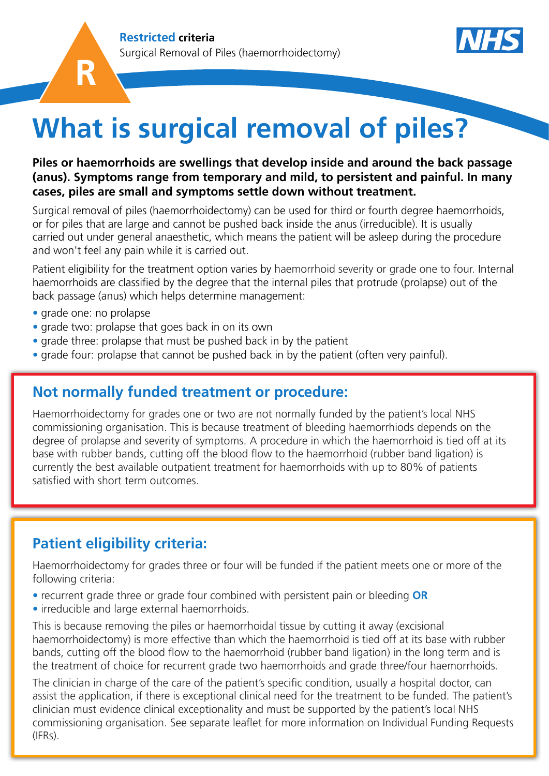



# **What is surgical removal of piles?**

### **Piles or haemorrhoids are swellings that develop inside and around the back passage (anus). Symptoms range from temporary and mild, to persistent and painful. In many cases, piles are small and symptoms settle down without treatment.**

Surgical removal of piles (haemorrhoidectomy) can be used for third or fourth degree haemorrhoids, or for piles that are large and cannot be pushed back inside the anus (irreducible). It is usually carried out under general anaesthetic, which means the patient will be asleep during the procedure and won't feel any pain while it is carried out.

Patient eligibility for the treatment option varies by haemorrhoid severity or grade one to four. Internal haemorrhoids are classified by the degree that the internal piles that protrude (prolapse) out of the back passage (anus) which helps determine management:

- grade one: no prolapse
- grade two: prolapse that goes back in on its own
- grade three: prolapse that must be pushed back in by the patient
- grade four: prolapse that cannot be pushed back in by the patient (often very painful).

## **Not normally funded treatment or procedure:**

Haemorrhoidectomy for grades one or two are not normally funded by the patient's local NHS commissioning organisation. This is because treatment of bleeding haemorrhiods depends on the degree of prolapse and severity of symptoms. A procedure in which the haemorrhoid is tied off at its base with rubber bands, cutting off the blood flow to the haemorrhoid (rubber band ligation) is currently the best available outpatient treatment for haemorrhoids with up to 80% of patients satisfied with short term outcomes.

## **Patient eligibility criteria:**

Haemorrhoidectomy for grades three or four will be funded if the patient meets one or more of the following criteria:

- recurrent grade three or grade four combined with persistent pain or bleeding **OR**
- irreducible and large external haemorrhoids.

This is because removing the piles or haemorrhoidal tissue by cutting it away (excisional haemorrhoidectomy) is more effective than which the haemorrhoid is tied off at its base with rubber bands, cutting off the blood flow to the haemorrhoid (rubber band ligation) in the long term and is the treatment of choice for recurrent grade two haemorrhoids and grade three/four haemorrhoids.

The clinician in charge of the care of the patient's specific condition, usually a hospital doctor, can assist the application, if there is exceptional clinical need for the treatment to be funded. The patient's clinician must evidence clinical exceptionality and must be supported by the patient's local NHS commissioning organisation. See separate leaflet for more information on Individual Funding Requests  $(IFRs)$ .